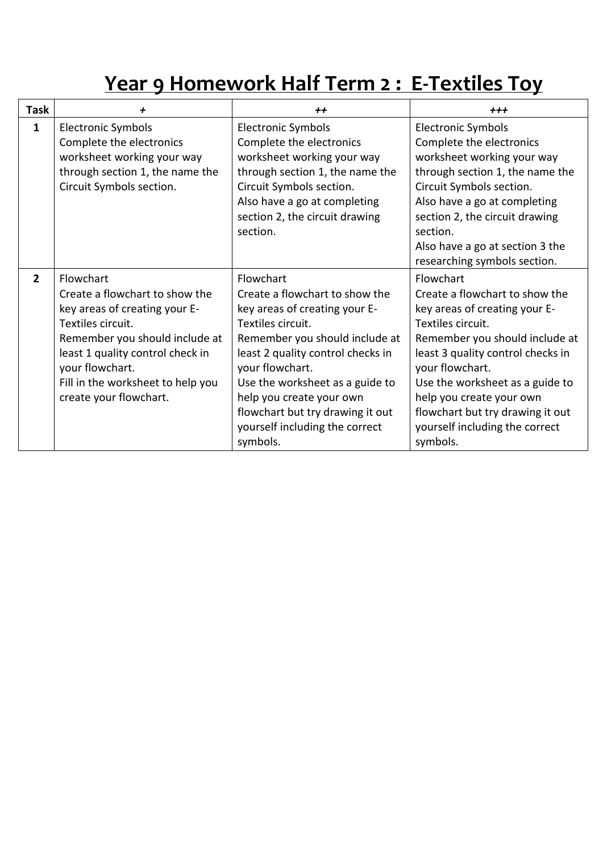# **Year 9 Homework Half Term 2 : E-Textiles Toy**

| Task           | +                                                                                                                                                                                                                                                         | $+$                                                                                                                                                                                                                                                                                                                                          | $+ + +$                                                                                                                                                                                                                                                                                                                                      |
|----------------|-----------------------------------------------------------------------------------------------------------------------------------------------------------------------------------------------------------------------------------------------------------|----------------------------------------------------------------------------------------------------------------------------------------------------------------------------------------------------------------------------------------------------------------------------------------------------------------------------------------------|----------------------------------------------------------------------------------------------------------------------------------------------------------------------------------------------------------------------------------------------------------------------------------------------------------------------------------------------|
| $\mathbf{1}$   | <b>Electronic Symbols</b><br>Complete the electronics<br>worksheet working your way<br>through section 1, the name the<br>Circuit Symbols section.                                                                                                        | <b>Electronic Symbols</b><br>Complete the electronics<br>worksheet working your way<br>through section 1, the name the<br>Circuit Symbols section.<br>Also have a go at completing<br>section 2, the circuit drawing<br>section.                                                                                                             | <b>Electronic Symbols</b><br>Complete the electronics<br>worksheet working your way<br>through section 1, the name the<br>Circuit Symbols section.<br>Also have a go at completing<br>section 2, the circuit drawing<br>section.<br>Also have a go at section 3 the<br>researching symbols section.                                          |
| $\overline{2}$ | Flowchart<br>Create a flowchart to show the<br>key areas of creating your E-<br>Textiles circuit.<br>Remember you should include at<br>least 1 quality control check in<br>your flowchart.<br>Fill in the worksheet to help you<br>create your flowchart. | Flowchart<br>Create a flowchart to show the<br>key areas of creating your E-<br>Textiles circuit.<br>Remember you should include at<br>least 2 quality control checks in<br>your flowchart.<br>Use the worksheet as a guide to<br>help you create your own<br>flowchart but try drawing it out<br>yourself including the correct<br>symbols. | Flowchart<br>Create a flowchart to show the<br>key areas of creating your E-<br>Textiles circuit.<br>Remember you should include at<br>least 3 quality control checks in<br>your flowchart.<br>Use the worksheet as a guide to<br>help you create your own<br>flowchart but try drawing it out<br>yourself including the correct<br>symbols. |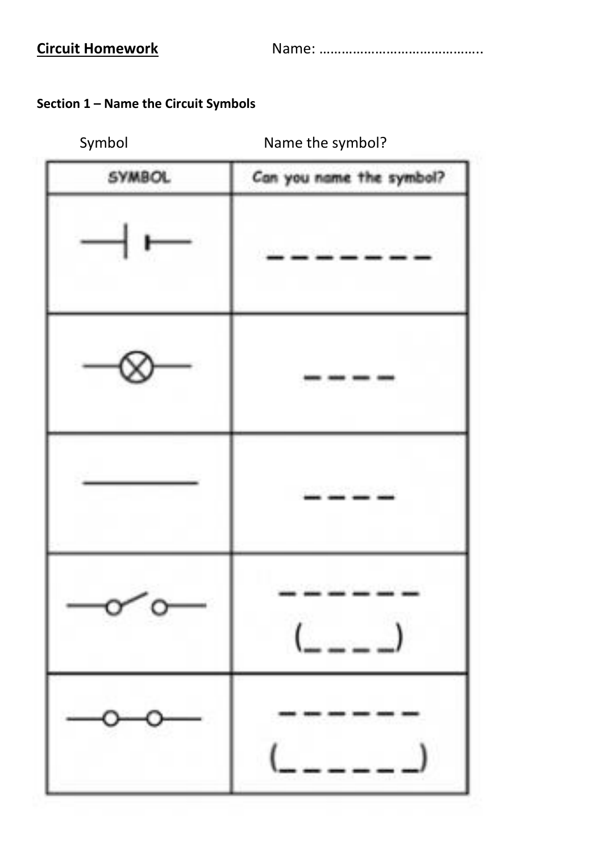**Circuit Homework** Name: ……………………………………..

### **Section 1 – Name the Circuit Symbols**

## [Symbol Name the symbol?](https://www.google.co.uk/url?sa=i&rct=j&q=&esrc=s&source=images&cd=&cad=rja&uact=8&ved=2ahUKEwjRrv6qie_dAhWPKFAKHaM2ArkQjRx6BAgBEAU&url=https://www.teachingideas.co.uk/subjects/circuits-and-electricity&psig=AOvVaw1cvsBXWIS-jOqKY-QkBHte&ust=1538821067311750)

| SYMBOL | Can you name the symbol? |
|--------|--------------------------|
|        |                          |
|        |                          |
|        | المتواصل المتواصل        |
|        |                          |
|        |                          |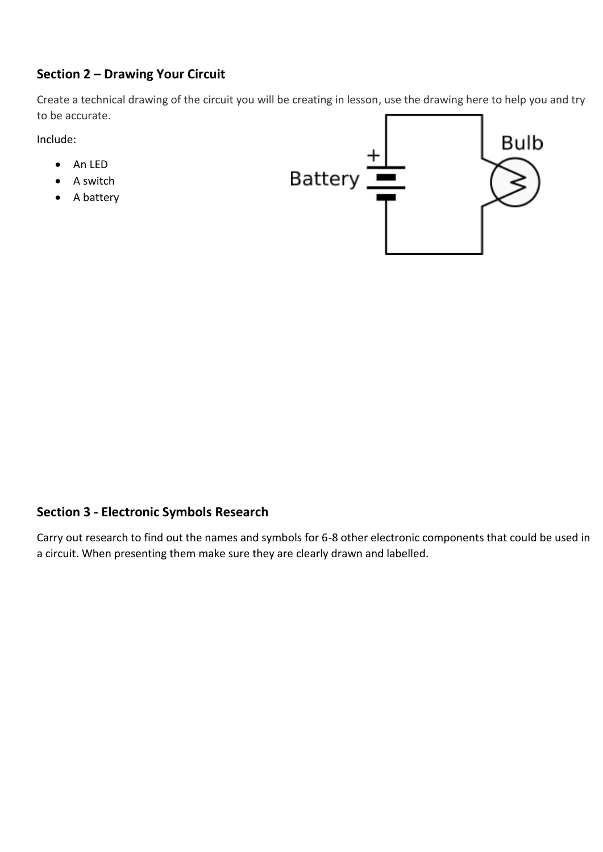### **Section 2 – Drawing Your Circuit**

Create a technical drawing of the circuit you will be creating in lesson, use the drawing here to help you and try to be accurate.

Include:

- An LED
- A switch
- A battery



#### **Section 3 - Electronic Symbols Research**

Carry out research to find out the names and symbols for 6-8 other electronic components that could be used in a circuit. When presenting them make sure they are clearly drawn and labelled.